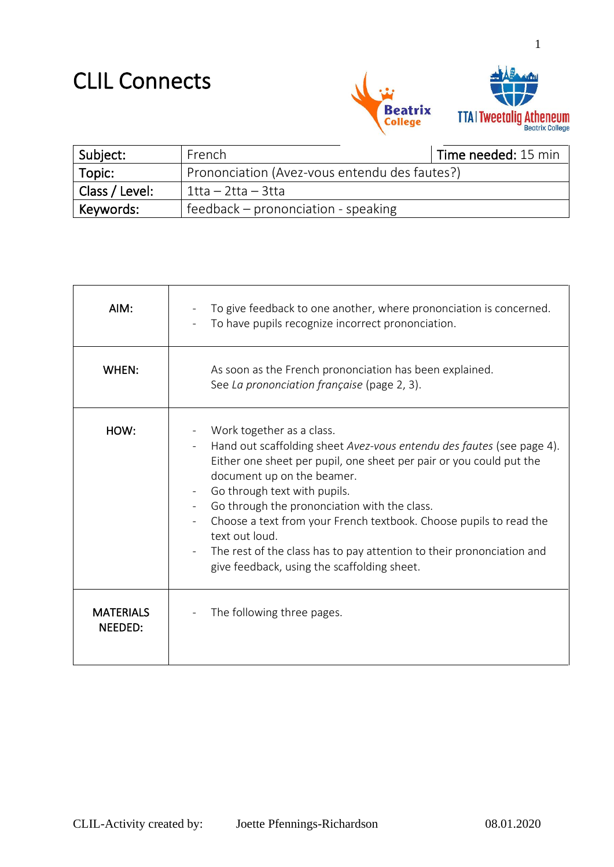## CLIL Connects



| Subject:       | French                                        | Time needed: 15 min |
|----------------|-----------------------------------------------|---------------------|
| $\mid$ Topic:  | Prononciation (Avez-vous entendu des fautes?) |                     |
| Class / Level: | $1$ tta – 2tta – 3tta                         |                     |
| Keywords:      | feedback – prononciation - speaking           |                     |

| AIM:                        | To give feedback to one another, where prononciation is concerned.<br>To have pupils recognize incorrect prononciation.                                                                                                                                                                                                                                                                                                                                                                                 |
|-----------------------------|---------------------------------------------------------------------------------------------------------------------------------------------------------------------------------------------------------------------------------------------------------------------------------------------------------------------------------------------------------------------------------------------------------------------------------------------------------------------------------------------------------|
| WHEN:                       | As soon as the French prononciation has been explained.<br>See La prononciation française (page 2, 3).                                                                                                                                                                                                                                                                                                                                                                                                  |
| HOW:                        | Work together as a class.<br>Hand out scaffolding sheet Avez-vous entendu des fautes (see page 4).<br>Either one sheet per pupil, one sheet per pair or you could put the<br>document up on the beamer.<br>Go through text with pupils.<br>Go through the prononciation with the class.<br>Choose a text from your French textbook. Choose pupils to read the<br>text out loud.<br>The rest of the class has to pay attention to their prononciation and<br>give feedback, using the scaffolding sheet. |
| <b>MATERIALS</b><br>NEEDED: | The following three pages.                                                                                                                                                                                                                                                                                                                                                                                                                                                                              |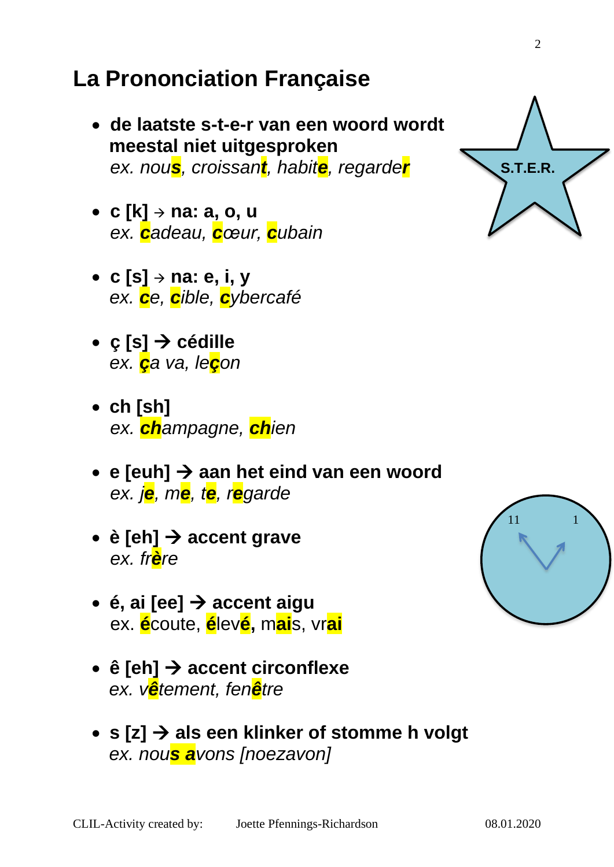## **La Prononciation Française**

- **de laatste s-t-e-r van een woord wordt meestal niet uitgesproken** *ex. nous, croissant, habite, regarder*
- **c [k]** <sup>→</sup> **na: a, o, u** *ex. cadeau, cœur, cubain*
- **c [s]** <sup>→</sup> **na: e, i, y**  *ex. ce, cible, cybercafé*
- **ç [s]** → **cédille** *ex. ça va, leçon*
- **ch [sh]**  *ex. champagne, chien*
- **e [euh]** → **aan het eind van een woord** *ex. je, me, te, regarde*
- **è [eh]** → **accent grave** *ex. frère*
- **é, ai [ee]** → **accent aigu** ex. **é**coute, **é**lev**é,** m**ai**s, vr**ai**
- **ê [eh]** → **accent circonflexe**  *ex. vêtement, fenêtre*
- **s [z]** → **als een klinker of stomme h volgt**  *ex. nous avons [noezavon]*



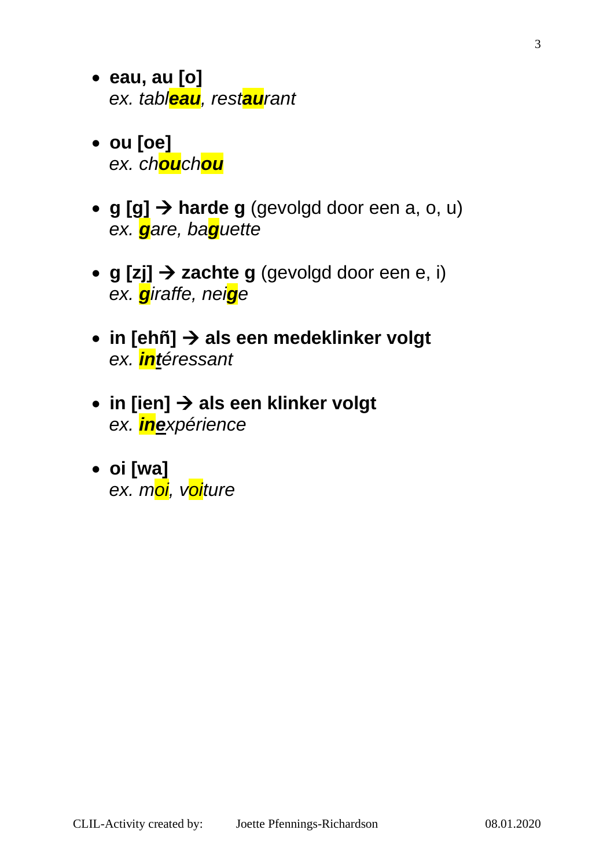- **eau, au [o]**  *ex. tableau, restaurant*
- **ou [oe]**  *ex. chouchou*
- **g [g]** → **harde g** (gevolgd door een a, o, u)  *ex. gare, baguette*
- **g [zj]** → **zachte g** (gevolgd door een e, i)  *ex. giraffe, neige*
- **in [ehñ]** → **als een medeklinker volgt**  *ex. intéressant*
- **in [ien]** → **als een klinker volgt**  *ex. inexpérience*
- **oi [wa]**   *ex. moi, voiture*